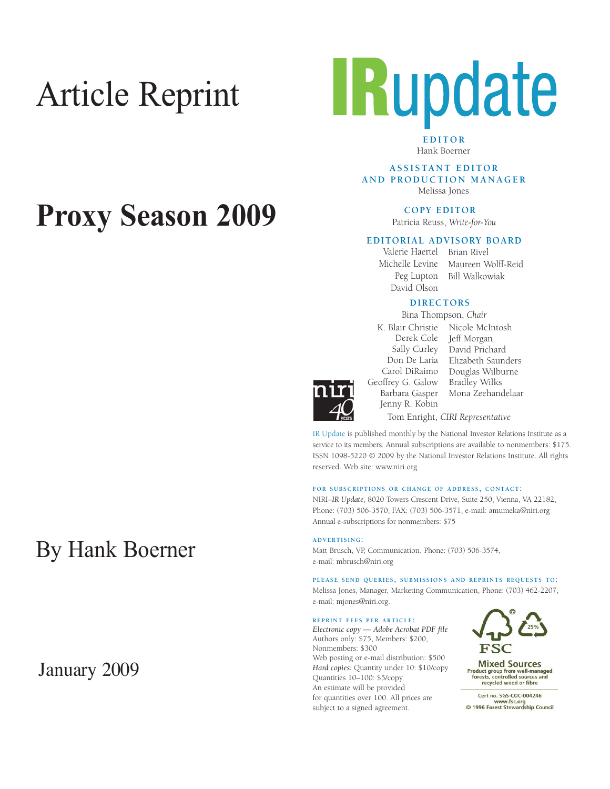# Article Reprint



**EDITOR** Hank Boerner

**A S S I S TA N T E D I T O R AND PRODUCTION MANAGER**

Melissa Jones

**COPY EDITOR** 

Patricia Reuss, *Write-for-You*

### **EDITORIAL ADVISORY BOARD**

Peg Lupton David Olson

Valerie Haertel Brian Rivel Michelle Levine Maureen Wolff-Reid Bill Walkowiak

### **DIRECTORS**

Bina Thompson, *Chair*

Carol DiRaimo Geoffrey G. Galow Barbara Gasper Jenny R. Kobin

K. Blair Christie Nicole McIntosh Derek Cole Jeff Morgan Sally Curley David Prichard Don De Laria Elizabeth Saunders Douglas Wilburne Bradley Wilks Mona Zeehandelaar Tom Enright, *CIRI Representative*

IR Update is published monthly by the National Investor Relations Institute as a service to its members. Annual subscriptions are available to nonmembers: \$175. ISSN 1098-5220 © 2009 by the National Investor Relations Institute. All rights reserved. Web site: www.niri.org

#### **FOR SUBSCRIPTIONS OR CHANGE OF ADDRESS, CONTACT:**

NIRI–*IR Update*, 8020 Towers Crescent Drive, Suite 250, Vienna, VA 22182, Phone: (703) 506-3570, FAX: (703) 506-3571, e-mail: amumeka@niri.org Annual e-subscriptions for nonmembers: \$75

**ADVERTISING:**

Matt Brusch, VP, Communication, Phone: (703) 506-3574, e-mail: mbrusch@niri.org

**PLEASE SEND QUERIES, SUBMISSIONS AND REPRINTS REQUESTS TO:** Melissa Jones, Manager, Marketing Communication, Phone: (703) 462-2207, e-mail: mjones@niri.org.

#### **REPRINT FEES PER ARTICLE:**

*Electronic copy* **—** *Adobe Acrobat PDF file*  Authors only: \$75, Members: \$200, Nonmembers: \$300 Web posting or e-mail distribution: \$500 *Hard copies:* Quantity under 10: \$10/copy Quantities 10–100: \$5/copy An estimate will be provided for quantities over 100. All prices are subject to a signed agreement.



**Mixed Sources** Product group from well-managed<br>forests, controlled sources and recycled wood or fibre

Cert no. SGS-COC-004246 www.fsc.org<br>
© 1996 Forest Stewardship Council

## **Proxy Season 2009**

### By Hank Boerner

### January 2009